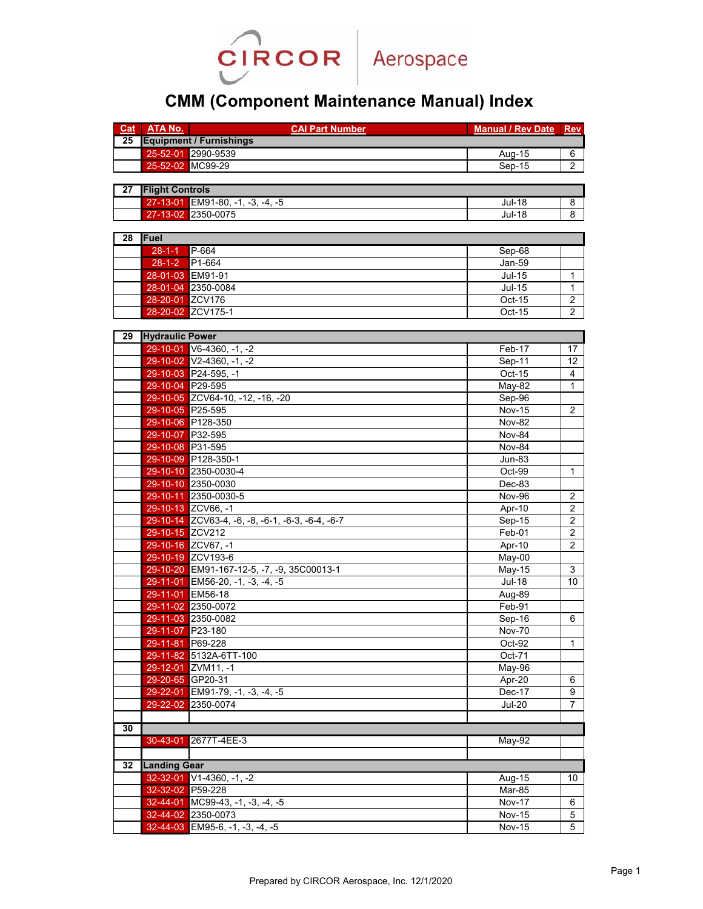

## **CMM (Component Maintenance Manual) Index**

| Cat | <b>ATA No.</b>         | <b>CAI Part Number</b>                           | <b>Manual / Rev Date</b>   | <b>Rev</b>                       |  |  |
|-----|------------------------|--------------------------------------------------|----------------------------|----------------------------------|--|--|
| 25  |                        | <b>Equipment / Furnishings</b>                   |                            |                                  |  |  |
|     |                        | 25-52-01 2990-9539                               | Aug-15                     | 6                                |  |  |
|     |                        | 25-52-02 MC99-29                                 | $Sep-15$                   | $\overline{2}$                   |  |  |
|     |                        |                                                  |                            |                                  |  |  |
| 27  | <b>Flight Controls</b> |                                                  |                            |                                  |  |  |
|     |                        | 27-13-01 EM91-80, -1, -3, -4, -5                 | <b>Jul-18</b>              | 8                                |  |  |
|     |                        | 27-13-02 2350-0075                               | <b>Jul-18</b>              | 8                                |  |  |
|     |                        |                                                  |                            |                                  |  |  |
| 28  | Fuel                   |                                                  |                            |                                  |  |  |
|     | $28 - 1 - 1$           | P-664                                            | Sep-68                     |                                  |  |  |
|     | $28 - 1 - 2$           | P1-664                                           | Jan-59                     |                                  |  |  |
|     |                        | 28-01-03 EM91-91                                 | $Jul-15$                   | $\mathbf{1}$                     |  |  |
|     |                        | 28-01-04 2350-0084                               | $Jul-15$                   | 1                                |  |  |
|     | 28-20-01 ZCV176        |                                                  | Oct-15                     | $\overline{c}$                   |  |  |
|     | 28-20-02               | ZCV175-1                                         | Oct-15                     | $\overline{2}$                   |  |  |
|     |                        |                                                  |                            |                                  |  |  |
| 29  | <b>Hydraulic Power</b> |                                                  |                            |                                  |  |  |
|     |                        | $29-10-01$ V6-4360, -1, -2                       | Feb-17                     | 17                               |  |  |
|     |                        | 29-10-02 V2-4360, -1, -2                         | Sep-11                     | 12                               |  |  |
|     |                        | 29-10-03 P24-595, -1                             | $Oct-15$                   | 4                                |  |  |
|     |                        | 29-10-04 P29-595                                 | <b>May-82</b>              | $\mathbf{1}$                     |  |  |
|     |                        | 29-10-05 ZCV64-10, -12, -16, -20                 | Sep-96                     |                                  |  |  |
|     | 29-10-05 P25-595       |                                                  | <b>Nov-15</b>              | $\overline{2}$                   |  |  |
|     |                        | 29-10-06 P128-350                                | <b>Nov-82</b>              |                                  |  |  |
|     | 29-10-07 P32-595       |                                                  | Nov-84                     |                                  |  |  |
|     |                        | 29-10-08 P31-595                                 | Nov-84                     |                                  |  |  |
|     |                        | 29-10-09 P128-350-1                              |                            |                                  |  |  |
|     |                        |                                                  | <b>Jun-83</b>              |                                  |  |  |
|     |                        | 29-10-10 2350-0030-4                             | Oct-99                     | 1                                |  |  |
|     |                        | 29-10-10 2350-0030                               | Dec-83                     |                                  |  |  |
|     |                        | 29-10-11 2350-0030-5                             | Nov-96                     | 2                                |  |  |
|     |                        | 29-10-13 ZCV66, -1                               | Apr-10                     | $\boldsymbol{2}$                 |  |  |
|     |                        | 29-10-14 ZCV63-4, -6, -8, -6-1, -6-3, -6-4, -6-7 | Sep-15                     | $\overline{2}$<br>$\overline{2}$ |  |  |
|     | 29-10-15 ZCV212        |                                                  | Feb-01                     |                                  |  |  |
|     |                        | 29-10-16 ZCV67, -1                               | Apr-10                     | $\overline{2}$                   |  |  |
|     |                        | 29-10-19 ZCV193-6                                | May-00                     |                                  |  |  |
|     |                        | 29-10-20 EM91-167-12-5, -7, -9, 35C00013-1       | May-15                     | 3                                |  |  |
|     |                        | 29-11-01 EM56-20, -1, -3, -4, -5                 | <b>Jul-18</b>              | 10                               |  |  |
|     |                        | 29-11-01 EM56-18                                 | Aug-89                     |                                  |  |  |
|     |                        | 29-11-02 2350-0072                               | Feb-91                     |                                  |  |  |
|     |                        | 29-11-03 2350-0082                               | $\overline{\text{Sep-}}16$ | 6                                |  |  |
|     | 29-11-07 P23-180       |                                                  | <b>Nov-70</b>              |                                  |  |  |
|     |                        | 29-11-81 P69-228                                 | Oct-92                     | 1                                |  |  |
|     |                        | 29-11-82 5132A-6TT-100                           | Oct-71                     |                                  |  |  |
|     |                        | 29-12-01 ZVM11, -1                               | May-96                     |                                  |  |  |
|     |                        | 29-20-65 GP20-31                                 | Apr-20                     | 6                                |  |  |
|     |                        | 29-22-01 EM91-79, -1, -3, -4, -5                 | Dec-17                     | 9                                |  |  |
|     | 29-22-02               | 2350-0074                                        | <b>Jul-20</b>              | 7                                |  |  |
|     |                        |                                                  |                            |                                  |  |  |
| 30  |                        |                                                  |                            |                                  |  |  |
|     | 30-43-01               | 2677T-4EE-3                                      | $May-92$                   |                                  |  |  |
|     |                        |                                                  |                            |                                  |  |  |
| 32  | <b>Landing Gear</b>    |                                                  |                            |                                  |  |  |
|     |                        | 32-32-01 V1-4360 -1 -2                           | Aug-15                     | 10                               |  |  |
|     | 32-32-02 P59-228       |                                                  | Mar-85                     |                                  |  |  |
|     |                        | $32-44-01$ MC99-43, -1, -3, -4, -5               | <b>Nov-17</b>              | 6                                |  |  |
|     |                        | 32-44-02 2350-0073                               | <b>Nov-15</b>              | $\,$ 5 $\,$                      |  |  |
|     |                        | 32-44-03 EM95-6, -1, -3, -4, -5                  | <b>Nov-15</b>              | $\overline{5}$                   |  |  |